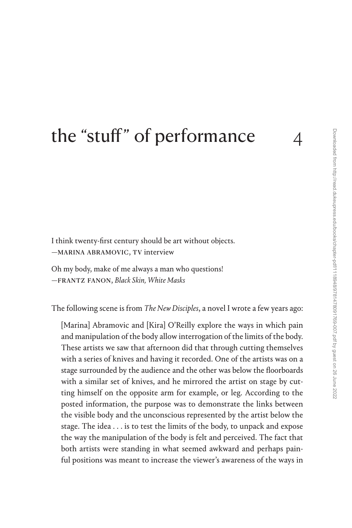# [the "stuff" of performance](#page--1-0) 4

I think twenty-first century should be art without objects. —marina abramovic, TV interview

Oh my body, make of me always a man who questions! —frantz fanon, *Black Skin, White Masks*

The following scene is from *The New Disciples*, a novel I wrote a few years ago:

[Marina] Abramovic and [Kira] O'Reilly explore the ways in which pain and manipulation of the body allow interrogation of the limits of the body. These artists we saw that afternoon did that through cutting themselves with a series of knives and having it recorded. One of the artists was on a stage surrounded by the audience and the other was below the floorboards with a similar set of knives, and he mirrored the artist on stage by cutting himself on the opposite arm for example, or leg. According to the posted information, the purpose was to demonstrate the links between the visible body and the unconscious represented by the artist below the stage. The idea . . . is to test the limits of the body, to unpack and expose the way the manipulation of the body is felt and perceived. The fact that both artists were standing in what seemed awkward and perhaps painful positions was meant to increase the viewer's awareness of the ways in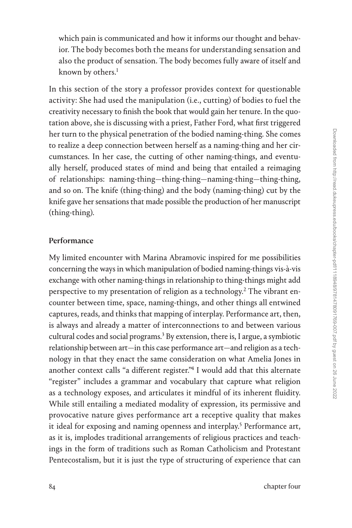which pain is communicated and how it informs our thought and behavior. The body becomes both the means for understanding sensation and also the product of sensation. The body becomes fully aware of itself and known by others.<sup>[1](#page--1-0)</sup>

In this section of the story a professor provides context for questionable activity: She had used the manipulation (i.e., cutting) of bodies to fuel the creativity necessary to finish the book that would gain her tenure. In the quotation above, she is discussing with a priest, Father Ford, what first triggered her turn to the physical penetration of the bodied naming-thing. She comes to realize a deep connection between herself as a naming-thing and her circumstances. In her case, the cutting of other naming-things, and eventually herself, produced states of mind and being that entailed a reimaging of relationships: naming-thing—thing-thing—naming-thing—thing-thing, and so on. The knife (thing-thing) and the body (naming-thing) cut by the knife gave her sensations that made possible the production of her manuscript (thing-thing).

## Performance

My limited encounter with Marina Abramovic inspired for me possibilities concerning the ways in which manipulation of bodied naming-things vis-à-vis exchange with other naming-things in relationship to thing-things might add perspective to my presentation of religion as a technology.<sup>[2](#page--1-0)</sup> The vibrant encounter between time, space, naming-things, and other things all entwined captures, reads, and thinks that mapping of interplay. Performance art, then, is always and already a matter of interconnections to and between various cultural codes and social programs.<sup>[3](#page--1-0)</sup> By extension, there is, I argue, a symbiotic relationship between art—in this case performance art—and religion as a technology in that they enact the same consideration on what Amelia Jones in another context calls "a different register.["4](#page--1-0) I would add that this alternate "register" includes a grammar and vocabulary that capture what religion as a technology exposes, and articulates it mindful of its inherent fluidity. While still entailing a mediated modality of expression, its permissive and provocative nature gives performance art a receptive quality that makes it ideal for exposing and naming openness and interplay.<sup>5</sup> Performance art, as it is, implodes traditional arrangements of religious practices and teachings in the form of traditions such as Roman Catholicism and Protestant Pentecostalism, but it is just the type of structuring of experience that can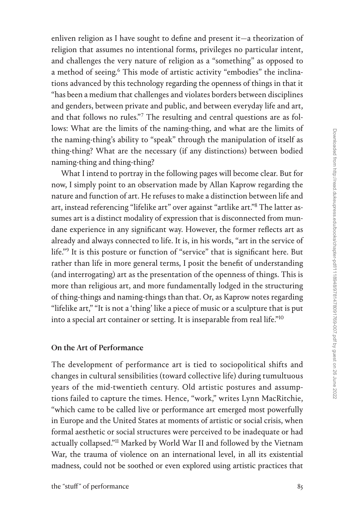enliven religion as I have sought to define and present it—a theorization of religion that assumes no intentional forms, privileges no particular intent, and challenges the very nature of religion as a "something" as opposed to a method of seeing.<sup>6</sup> This mode of artistic activity "embodies" the inclinations advanced by this technology regarding the openness of things in that it "has been a medium that challenges and violates borders between disciplines and genders, between private and public, and between everyday life and art, and that follows no rules."[7](#page--1-0) The resulting and central questions are as follows: What are the limits of the naming-thing, and what are the limits of the naming-thing's ability to "speak" through the manipulation of itself as thing-thing? What are the necessary (if any distinctions) between bodied naming-thing and thing-thing?

What I intend to portray in the following pages will become clear. But for now, I simply point to an observation made by Allan Kaprow regarding the nature and function of art. He refuses to make a distinction between life and art, instead referencing "lifelike art" over against "artlike art."[8](#page--1-0) The latter assumes art is a distinct modality of expression that is disconnected from mundane experience in any significant way. However, the former reflects art as already and always connected to life. It is, in his words, "art in the service of life.["9](#page--1-0) It is this posture or function of "service" that is significant here. But rather than life in more general terms, I posit the benefit of understanding (and interrogating) art as the presentation of the openness of things. This is more than religious art, and more fundamentally lodged in the structuring of thing-things and naming-things than that. Or, as Kaprow notes regarding "lifelike art," "It is not a 'thing' like a piece of music or a sculpture that is put into a special art container or setting. It is inseparable from real life."[10](#page--1-0)

### On the Art of Performance

The development of performance art is tied to sociopolitical shifts and changes in cultural sensibilities (toward collective life) during tumultuous years of the mid-twentieth century. Old artistic postures and assumptions failed to capture the times. Hence, "work," writes Lynn MacRitchie, "which came to be called live or performance art emerged most powerfully in Europe and the United States at moments of artistic or social crisis, when formal aesthetic or social structures were perceived to be inadequate or had actually collapsed."<sup>11</sup> Marked by World War II and followed by the Vietnam War, the trauma of violence on an international level, in all its existential madness, could not be soothed or even explored using artistic practices that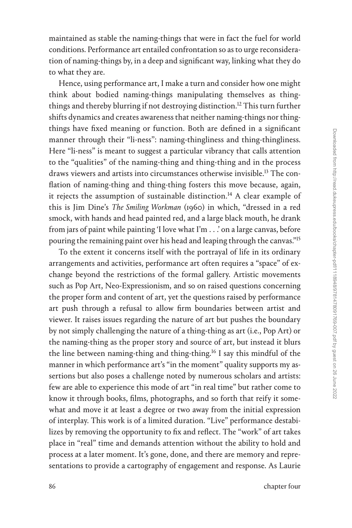maintained as stable the naming-things that were in fact the fuel for world conditions. Performance art entailed confrontation so as to urge reconsideration of naming-things by, in a deep and significant way, linking what they do to what they are.

Hence, using performance art, I make a turn and consider how one might think about bodied naming-things manipulating themselves as thingthings and thereby blurring if not destroying distinction.<sup>12</sup> This turn further shifts dynamics and creates awareness that neither naming-things nor thingthings have fixed meaning or function. Both are defined in a significant manner through their "li-ness": naming-thingliness and thing-thingliness. Here "li-ness" is meant to suggest a particular vibrancy that calls attention to the "qualities" of the naming-thing and thing-thing and in the process draws viewers and artists into circumstances otherwise invisible.<sup>13</sup> The conflation of naming-thing and thing-thing fosters this move because, again, it rejects the assumption of sustainable distinction.<sup>14</sup> A clear example of this is Jim Dine's *The Smiling Workman* (1960) in which, "dressed in a red smock, with hands and head painted red, and a large black mouth, he drank from jars of paint while painting 'I love what I'm . . .' on a large canvas, before pouring the remaining paint over his head and leaping through the canvas."[15](#page--1-0)

To the extent it concerns itself with the portrayal of life in its ordinary arrangements and activities, performance art often requires a "space" of exchange beyond the restrictions of the formal gallery. Artistic movements such as Pop Art, Neo-Expressionism, and so on raised questions concerning the proper form and content of art, yet the questions raised by performance art push through a refusal to allow firm boundaries between artist and viewer. It raises issues regarding the nature of art but pushes the boundary by not simply challenging the nature of a thing-thing as art (i.e., Pop Art) or the naming-thing as the proper story and source of art, but instead it blurs the line between naming-thing and thing-thing[.16](#page--1-0) I say this mindful of the manner in which performance art's "in the moment" quality supports my assertions but also poses a challenge noted by numerous scholars and artists: few are able to experience this mode of art "in real time" but rather come to know it through books, films, photographs, and so forth that reify it somewhat and move it at least a degree or two away from the initial expression of interplay. This work is of a limited duration. "Live" performance destabilizes by removing the opportunity to fix and reflect. The "work" of art takes place in "real" time and demands attention without the ability to hold and process at a later moment. It's gone, done, and there are memory and representations to provide a cartography of engagement and response. As Laurie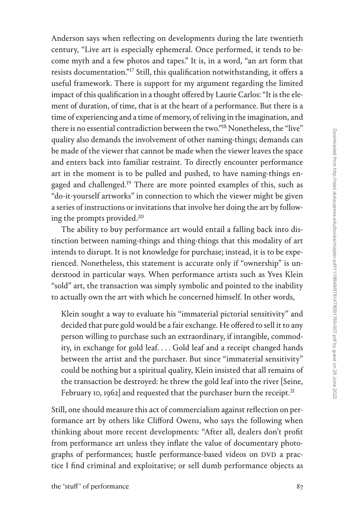Anderson says when reflecting on developments during the late twentieth century, "Live art is especially ephemeral. Once performed, it tends to become myth and a few photos and tapes." It is, in a word, "an art form that resists documentation.["17](#page--1-0) Still, this qualification notwithstanding, it offers a useful framework. There is support for my argument regarding the limited impact of this qualification in a thought offered by Laurie Carlos: "It is the element of duration, of time, that is at the heart of a performance. But there is a time of experiencing and a time of memory, of reliving in the imagination, and there is no essential contradiction between the two."[18](#page--1-0) Nonetheless, the "live" quality also demands the involvement of other naming-things; demands can be made of the viewer that cannot be made when the viewer leaves the space and enters back into familiar restraint. To directly encounter performance art in the moment is to be pulled and pushed, to have naming-things engaged and challenged.<sup>19</sup> There are more pointed examples of this, such as "do-it-yourself artworks" in connection to which the viewer might be given a series of instructions or invitations that involve her doing the art by following the prompts provided[.20](#page--1-0)

The ability to buy performance art would entail a falling back into distinction between naming-things and thing-things that this modality of art intends to disrupt. It is not knowledge for purchase; instead, it is to be experienced. Nonetheless, this statement is accurate only if "ownership" is understood in particular ways. When performance artists such as Yves Klein "sold" art, the transaction was simply symbolic and pointed to the inability to actually own the art with which he concerned himself. In other words,

Klein sought a way to evaluate his "immaterial pictorial sensitivity" and decided that pure gold would be a fair exchange. He offered to sell it to any person willing to purchase such an extraordinary, if intangible, commodity, in exchange for gold leaf. . . . Gold leaf and a receipt changed hands between the artist and the purchaser. But since "immaterial sensitivity" could be nothing but a spiritual quality, Klein insisted that all remains of the transaction be destroyed: he threw the gold leaf into the river [Seine, February 10, 1962] and requested that the purchaser burn the receipt.<sup>21</sup>

Still, one should measure this act of commercialism against reflection on performance art by others like Clifford Owens, who says the following when thinking about more recent developments: "After all, dealers don't profit from performance art unless they inflate the value of documentary photographs of performances; hustle performance-based videos on DVD a practice I find criminal and exploitative; or sell dumb performance objects as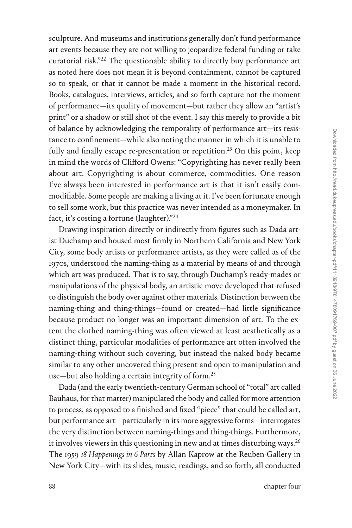sculpture. And museums and institutions generally don't fund performance art events because they are not willing to jeopardize federal funding or take curatorial risk."[22](#page--1-0) The questionable ability to directly buy performance art as noted here does not mean it is beyond containment, cannot be captured so to speak, or that it cannot be made a moment in the historical record. Books, catalogues, interviews, articles, and so forth capture not the moment of performance—its quality of movement—but rather they allow an "artist's print" or a shadow or still shot of the event. I say this merely to provide a bit of balance by acknowledging the temporality of performance art—its resistance to confinement—while also noting the manner in which it is unable to fully and finally escape re-presentation or repetition.<sup>23</sup> On this point, keep in mind the words of Clifford Owens: "Copyrighting has never really been about art. Copyrighting is about commerce, commodities. One reason I've always been interested in performance art is that it isn't easily commodifiable. Some people are making a living at it. I've been fortunate enough to sell some work, but this practice was never intended as a moneymaker. In fact, it's costing a fortune (laughter).["24](#page--1-0)

Drawing inspiration directly or indirectly from figures such as Dada artist Duchamp and housed most firmly in Northern California and New York City, some body artists or performance artists, as they were called as of the 1970s, understood the naming-thing as a material by means of and through which art was produced. That is to say, through Duchamp's ready-mades or manipulations of the physical body, an artistic move developed that refused to distinguish the body over against other materials. Distinction between the naming-thing and thing-things—found or created—had little significance because product no longer was an important dimension of art. To the extent the clothed naming-thing was often viewed at least aesthetically as a distinct thing, particular modalities of performance art often involved the naming-thing without such covering, but instead the naked body became similar to any other uncovered thing present and open to manipulation and use—but also holding a certain integrity of form.<sup>[25](#page--1-0)</sup>

Dada (and the early twentieth-century German school of "total" art called Bauhaus, for that matter) manipulated the body and called for more attention to process, as opposed to a finished and fixed "piece" that could be called art, but performance art—particularly in its more aggressive forms—interrogates the very distinction between naming-things and thing-things. Furthermore, it involves viewers in this questioning in new and at times disturbing ways. $^{26}$ The 1959 *18 Happenings in 6 Parts* by Allan Kaprow at the Reuben Gallery in New York City—with its slides, music, readings, and so forth, all conducted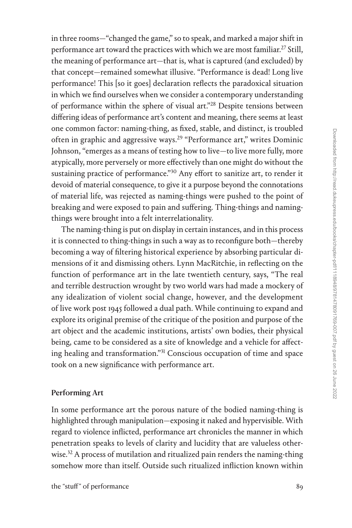in three rooms—"changed the game," so to speak, and marked a major shift in performance art toward the practices with which we are most familiar.<sup>[27](#page--1-0)</sup> Still, the meaning of performance art—that is, what is captured (and excluded) by that concept—remained somewhat illusive. "Performance is dead! Long live performance! This [so it goes] declaration reflects the paradoxical situation in which we find ourselves when we consider a contemporary understanding of performance within the sphere of visual art.["28](#page--1-0) Despite tensions between differing ideas of performance art's content and meaning, there seems at least one common factor: naming-thing, as fixed, stable, and distinct, is troubled often in graphic and aggressive ways[.29](#page--1-0) "Performance art," writes Dominic Johnson, "emerges as a means of testing how to live—to live more fully, more atypically, more perversely or more effectively than one might do without the sustaining practice of performance."<sup>30</sup> Any effort to sanitize art, to render it devoid of material consequence, to give it a purpose beyond the connotations of material life, was rejected as naming-things were pushed to the point of breaking and were exposed to pain and suffering. Thing-things and namingthings were brought into a felt interrelationality.

The naming-thing is put on display in certain instances, and in this process it is connected to thing-things in such a way as to reconfigure both—thereby becoming a way of filtering historical experience by absorbing particular dimensions of it and dismissing others. Lynn MacRitchie, in reflecting on the function of performance art in the late twentieth century, says, "The real and terrible destruction wrought by two world wars had made a mockery of any idealization of violent social change, however, and the development of live work post 1945 followed a dual path. While continuing to expand and explore its original premise of the critique of the position and purpose of the art object and the academic institutions, artists' own bodies, their physical being, came to be considered as a site of knowledge and a vehicle for affecting healing and transformation."[31](#page--1-0) Conscious occupation of time and space took on a new significance with performance art.

# Performing Art

In some performance art the porous nature of the bodied naming-thing is highlighted through manipulation—exposing it naked and hypervisible. With regard to violence inflicted, performance art chronicles the manner in which penetration speaks to levels of clarity and lucidity that are valueless otherwise.<sup>32</sup> A process of mutilation and ritualized pain renders the naming-thing somehow more than itself. Outside such ritualized infliction known within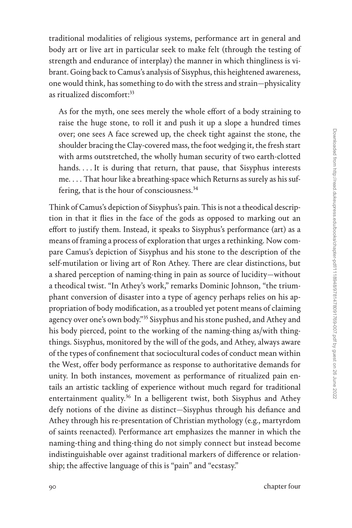traditional modalities of religious systems, performance art in general and body art or live art in particular seek to make felt (through the testing of strength and endurance of interplay) the manner in which thingliness is vibrant. Going back to Camus's analysis of Sisyphus, this heightened awareness, one would think, has something to do with the stress and strain—physicality as ritualized discomfort:<sup>33</sup>

As for the myth, one sees merely the whole effort of a body straining to raise the huge stone, to roll it and push it up a slope a hundred times over; one sees A face screwed up, the cheek tight against the stone, the shoulder bracing the Clay-covered mass, the foot wedging it, the fresh start with arms outstretched, the wholly human security of two earth-clotted hands. . . . It is during that return, that pause, that Sisyphus interests me. . . . That hour like a breathing-space which Returns as surely as his suf-fering, that is the hour of consciousness.<sup>[34](#page--1-0)</sup>

Think of Camus's depiction of Sisyphus's pain. This is not a theodical description in that it flies in the face of the gods as opposed to marking out an effort to justify them. Instead, it speaks to Sisyphus's performance (art) as a means of framing a process of exploration that urges a rethinking. Now compare Camus's depiction of Sisyphus and his stone to the description of the self-mutilation or living art of Ron Athey. There are clear distinctions, but a shared perception of naming-thing in pain as source of lucidity—without a theodical twist. "In Athey's work," remarks Dominic Johnson, "the triumphant conversion of disaster into a type of agency perhaps relies on his appropriation of body modification, as a troubled yet potent means of claiming agency over one's own body."[35](#page--1-0) Sisyphus and his stone pushed, and Athey and his body pierced, point to the working of the naming-thing as/with thingthings. Sisyphus, monitored by the will of the gods, and Athey, always aware of the types of confinement that sociocultural codes of conduct mean within the West, offer body performance as response to authoritative demands for unity. In both instances, movement as performance of ritualized pain entails an artistic tackling of experience without much regard for traditional entertainment quality.<sup>36</sup> In a belligerent twist, both Sisyphus and Athey defy notions of the divine as distinct—Sisyphus through his defiance and Athey through his re-presentation of Christian mythology (e.g., martyrdom of saints reenacted). Performance art emphasizes the manner in which the naming-thing and thing-thing do not simply connect but instead become indistinguishable over against traditional markers of difference or relationship; the affective language of this is "pain" and "ecstasy."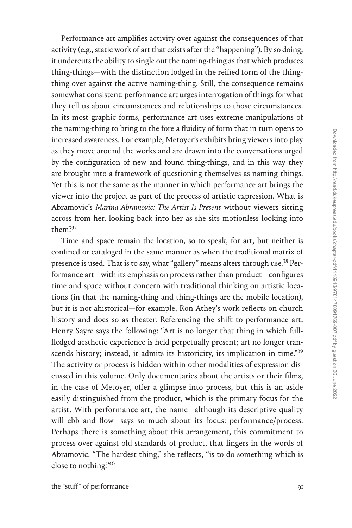Performance art amplifies activity over against the consequences of that activity (e.g., static work of art that exists after the "happening"). By so doing, it undercuts the ability to single out the naming-thing as that which produces thing-things—with the distinction lodged in the reified form of the thingthing over against the active naming-thing. Still, the consequence remains somewhat consistent: performance art urges interrogation of things for what they tell us about circumstances and relationships to those circumstances. In its most graphic forms, performance art uses extreme manipulations of the naming-thing to bring to the fore a fluidity of form that in turn opens to increased awareness. For example, Metoyer's exhibits bring viewers into play as they move around the works and are drawn into the conversations urged by the configuration of new and found thing-things, and in this way they are brought into a framework of questioning themselves as naming-things. Yet this is not the same as the manner in which performance art brings the viewer into the project as part of the process of artistic expression. What is Abramovic's *Marina Abramovic: The Artist Is Present* without viewers sitting across from her, looking back into her as she sits motionless looking into them[?37](#page--1-0)

Time and space remain the location, so to speak, for art, but neither is confined or cataloged in the same manner as when the traditional matrix of presence is used. That is to say, what "gallery" means alters through use.<sup>38</sup> Performance art—with its emphasis on process rather than product—configures time and space without concern with traditional thinking on artistic locations (in that the naming-thing and thing-things are the mobile location), but it is not ahistorical—for example, Ron Athey's work reflects on church history and does so as theater. Referencing the shift to performance art, Henry Sayre says the following: "Art is no longer that thing in which fullfledged aesthetic experience is held perpetually present; art no longer tran-scends history; instead, it admits its historicity, its implication in time."<sup>[39](#page--1-0)</sup> The activity or process is hidden within other modalities of expression discussed in this volume. Only documentaries about the artists or their films, in the case of Metoyer, offer a glimpse into process, but this is an aside easily distinguished from the product, which is the primary focus for the artist. With performance art, the name—although its descriptive quality will ebb and flow—says so much about its focus: performance/process. Perhaps there is something about this arrangement, this commitment to process over against old standards of product, that lingers in the words of Abramovic. "The hardest thing," she reflects, "is to do something which is close to nothing.["40](#page--1-0)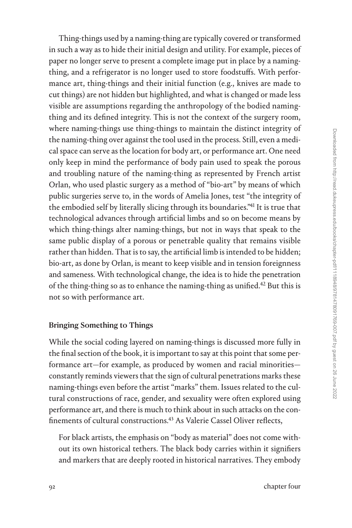Thing-things used by a naming-thing are typically covered or transformed in such a way as to hide their initial design and utility. For example, pieces of paper no longer serve to present a complete image put in place by a namingthing, and a refrigerator is no longer used to store foodstuffs. With performance art, thing-things and their initial function (e.g., knives are made to cut things) are not hidden but highlighted, and what is changed or made less visible are assumptions regarding the anthropology of the bodied namingthing and its defined integrity. This is not the context of the surgery room, where naming-things use thing-things to maintain the distinct integrity of the naming-thing over against the tool used in the process. Still, even a medical space can serve as the location for body art, or performance art. One need only keep in mind the performance of body pain used to speak the porous and troubling nature of the naming-thing as represented by French artist Orlan, who used plastic surgery as a method of "bio-art" by means of which public surgeries serve to, in the words of Amelia Jones, test "the integrity of the embodied self by literally slicing through its boundaries."<sup>41</sup> It is true that technological advances through artificial limbs and so on become means by which thing-things alter naming-things, but not in ways that speak to the same public display of a porous or penetrable quality that remains visible rather than hidden. That is to say, the artificial limb is intended to be hidden; bio-art, as done by Orlan, is meant to keep visible and in tension foreignness and sameness. With technological change, the idea is to hide the penetration of the thing-thing so as to enhance the naming-thing as unified.<sup>42</sup> But this is not so with performance art.

#### Bringing Something to Things

While the social coding layered on naming-things is discussed more fully in the final section of the book, it is important to say at this point that some performance art—for example, as produced by women and racial minorities constantly reminds viewers that the sign of cultural penetrations marks these naming-things even before the artist "marks" them. Issues related to the cultural constructions of race, gender, and sexuality were often explored using performance art, and there is much to think about in such attacks on the con-finements of cultural constructions.<sup>[43](#page--1-0)</sup> As Valerie Cassel Oliver reflects,

For black artists, the emphasis on "body as material" does not come without its own historical tethers. The black body carries within it signifiers and markers that are deeply rooted in historical narratives. They embody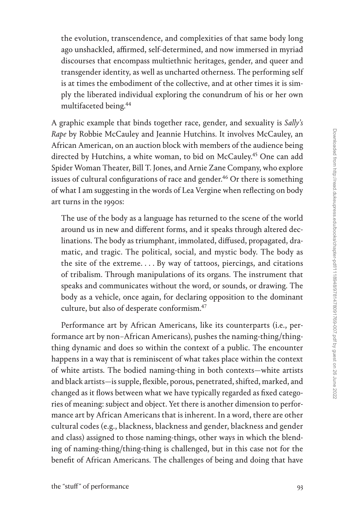Downloaded from http://read.dukeupress.edu/books/chapter-pdf/1118948/9781478091769-007.pdf by guest on 26 June 2022 Downloaded from http://read.dukeupress.edu/books/chapter-pdf/1118948/9781478091769-007.pdf by guest on 26 June 2022

the evolution, transcendence, and complexities of that same body long ago unshackled, affirmed, self-determined, and now immersed in myriad discourses that encompass multiethnic heritages, gender, and queer and transgender identity, as well as uncharted otherness. The performing self is at times the embodiment of the collective, and at other times it is simply the liberated individual exploring the conundrum of his or her own multifaceted being[.44](#page--1-0)

A graphic example that binds together race, gender, and sexuality is *Sally's Rape* by Robbie McCauley and Jeannie Hutchins. It involves McCauley, an African American, on an auction block with members of the audience being directed by Hutchins, a white woman, to bid on McCauley.<sup>45</sup> One can add Spider Woman Theater, Bill T. Jones, and Arnie Zane Company, who explore issues of cultural configurations of race and gender.<sup>46</sup> Or there is something of what I am suggesting in the words of Lea Vergine when reflecting on body art turns in the 1990s:

The use of the body as a language has returned to the scene of the world around us in new and different forms, and it speaks through altered declinations. The body as triumphant, immolated, diffused, propagated, dramatic, and tragic. The political, social, and mystic body. The body as the site of the extreme. . . . By way of tattoos, piercings, and citations of tribalism. Through manipulations of its organs. The instrument that speaks and communicates without the word, or sounds, or drawing. The body as a vehicle, once again, for declaring opposition to the dominant culture, but also of desperate conformism[.47](#page--1-0)

Performance art by African Americans, like its counterparts (i.e., performance art by non–African Americans), pushes the naming-thing/thingthing dynamic and does so within the context of a public. The encounter happens in a way that is reminiscent of what takes place within the context of white artists. The bodied naming-thing in both contexts—white artists and black artists—is supple, flexible, porous, penetrated, shifted, marked, and changed as it flows between what we have typically regarded as fixed categories of meaning: subject and object. Yet there is another dimension to performance art by African Americans that is inherent. In a word, there are other cultural codes (e.g., blackness, blackness and gender, blackness and gender and class) assigned to those naming-things, other ways in which the blending of naming-thing/thing-thing is challenged, but in this case not for the benefit of African Americans. The challenges of being and doing that have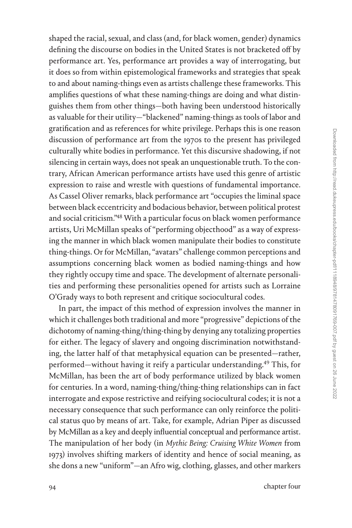shaped the racial, sexual, and class (and, for black women, gender) dynamics defining the discourse on bodies in the United States is not bracketed off by performance art. Yes, performance art provides a way of interrogating, but it does so from within epistemological frameworks and strategies that speak to and about naming-things even as artists challenge these frameworks. This amplifies questions of what these naming-things are doing and what distinguishes them from other things—both having been understood historically as valuable for their utility—"blackened" naming-things as tools of labor and gratification and as references for white privilege. Perhaps this is one reason discussion of performance art from the 1970s to the present has privileged culturally white bodies in performance. Yet this discursive shadowing, if not silencing in certain ways, does not speak an unquestionable truth. To the contrary, African American performance artists have used this genre of artistic expression to raise and wrestle with questions of fundamental importance. As Cassel Oliver remarks, black performance art "occupies the liminal space between black eccentricity and bodacious behavior, between political protest and social criticism.["48](#page--1-0) With a particular focus on black women performance artists, Uri McMillan speaks of "performing objecthood" as a way of expressing the manner in which black women manipulate their bodies to constitute thing-things. Or for McMillan, "avatars" challenge common perceptions and assumptions concerning black women as bodied naming-things and how they rightly occupy time and space. The development of alternate personalities and performing these personalities opened for artists such as Lorraine O'Grady ways to both represent and critique sociocultural codes.

In part, the impact of this method of expression involves the manner in which it challenges both traditional and more "progressive" depictions of the dichotomy of naming-thing/thing-thing by denying any totalizing properties for either. The legacy of slavery and ongoing discrimination notwithstanding, the latter half of that metaphysical equation can be presented—rather, performed—without having it reify a particular understanding.[49](#page--1-0) This, for McMillan, has been the art of body performance utilized by black women for centuries. In a word, naming-thing/thing-thing relationships can in fact interrogate and expose restrictive and reifying sociocultural codes; it is not a necessary consequence that such performance can only reinforce the political status quo by means of art. Take, for example, Adrian Piper as discussed by McMillan as a key and deeply influential conceptual and performance artist. The manipulation of her body (in *Mythic Being: Cruising White Women* from 1973) involves shifting markers of identity and hence of social meaning, as she dons a new "uniform"—an Afro wig, clothing, glasses, and other markers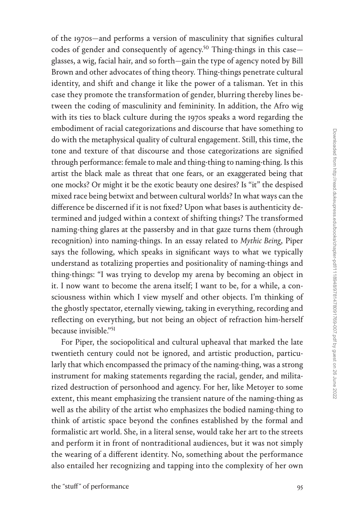of the 1970s—and performs a version of masculinity that signifies cultural codes of gender and consequently of agency.<sup>50</sup> Thing-things in this case glasses, a wig, facial hair, and so forth—gain the type of agency noted by Bill Brown and other advocates of thing theory. Thing-things penetrate cultural identity, and shift and change it like the power of a talisman. Yet in this case they promote the transformation of gender, blurring thereby lines between the coding of masculinity and femininity. In addition, the Afro wig with its ties to black culture during the 1970s speaks a word regarding the embodiment of racial categorizations and discourse that have something to do with the metaphysical quality of cultural engagement. Still, this time, the tone and texture of that discourse and those categorizations are signified through performance: female to male and thing-thing to naming-thing. Is this artist the black male as threat that one fears, or an exaggerated being that one mocks? Or might it be the exotic beauty one desires? Is "it" the despised mixed race being betwixt and between cultural worlds? In what ways can the difference be discerned if it is not fixed? Upon what bases is authenticity determined and judged within a context of shifting things? The transformed naming-thing glares at the passersby and in that gaze turns them (through recognition) into naming-things. In an essay related to *Mythic Being*, Piper says the following, which speaks in significant ways to what we typically understand as totalizing properties and positionality of naming-things and thing-things: "I was trying to develop my arena by becoming an object in it. I now want to become the arena itself; I want to be, for a while, a consciousness within which I view myself and other objects. I'm thinking of the ghostly spectator, eternally viewing, taking in everything, recording and reflecting on everything, but not being an object of refraction him-herself because invisible.["51](#page--1-0)

For Piper, the sociopolitical and cultural upheaval that marked the late twentieth century could not be ignored, and artistic production, particularly that which encompassed the primacy of the naming-thing, was a strong instrument for making statements regarding the racial, gender, and militarized destruction of personhood and agency. For her, like Metoyer to some extent, this meant emphasizing the transient nature of the naming-thing as well as the ability of the artist who emphasizes the bodied naming-thing to think of artistic space beyond the confines established by the formal and formalistic art world. She, in a literal sense, would take her art to the streets and perform it in front of nontraditional audiences, but it was not simply the wearing of a different identity. No, something about the performance also entailed her recognizing and tapping into the complexity of her own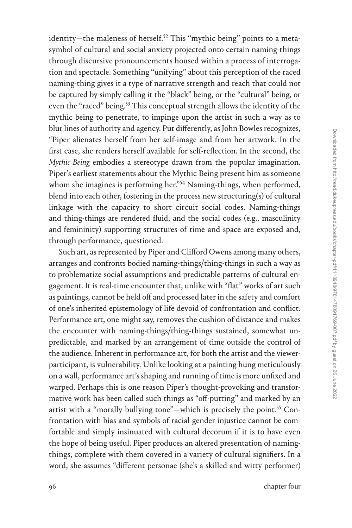identity—the maleness of herself.<sup>52</sup> This "mythic being" points to a metasymbol of cultural and social anxiety projected onto certain naming-things through discursive pronouncements housed within a process of interrogation and spectacle. Something "unifying" about this perception of the raced naming-thing gives it a type of narrative strength and reach that could not be captured by simply calling it the "black" being, or the "cultural" being, or even the "raced" being.<sup>53</sup> This conceptual strength allows the identity of the mythic being to penetrate, to impinge upon the artist in such a way as to blur lines of authority and agency. Put differently, as John Bowles recognizes, "Piper alienates herself from her self-image and from her artwork. In the first case, she renders herself available for self-reflection. In the second, the *Mythic Being* embodies a stereotype drawn from the popular imagination. Piper's earliest statements about the Mythic Being present him as someone whom she imagines is performing her."<sup>[54](#page--1-0)</sup> Naming-things, when performed, blend into each other, fostering in the process new structuring(s) of cultural linkage with the capacity to short circuit social codes. Naming-things and thing-things are rendered fluid, and the social codes (e.g., masculinity and femininity) supporting structures of time and space are exposed and, through performance, questioned.

Such art, as represented by Piper and Clifford Owens among many others, arranges and confronts bodied naming-things/thing-things in such a way as to problematize social assumptions and predictable patterns of cultural engagement. It is real-time encounter that, unlike with "flat" works of art such as paintings, cannot be held off and processed later in the safety and comfort of one's inherited epistemology of life devoid of confrontation and conflict. Performance art, one might say, removes the cushion of distance and makes the encounter with naming-things/thing-things sustained, somewhat unpredictable, and marked by an arrangement of time outside the control of the audience. Inherent in performance art, for both the artist and the viewerparticipant, is vulnerability. Unlike looking at a painting hung meticulously on a wall, performance art's shaping and running of time is more unfixed and warped. Perhaps this is one reason Piper's thought-provoking and transformative work has been called such things as "off-putting" and marked by an artist with a "morally bullying tone"—which is precisely the point.<sup>55</sup> Confrontation with bias and symbols of racial-gender injustice cannot be comfortable and simply insinuated with cultural decorum if it is to have even the hope of being useful. Piper produces an altered presentation of namingthings, complete with them covered in a variety of cultural signifiers. In a word, she assumes "different personae (she's a skilled and witty performer)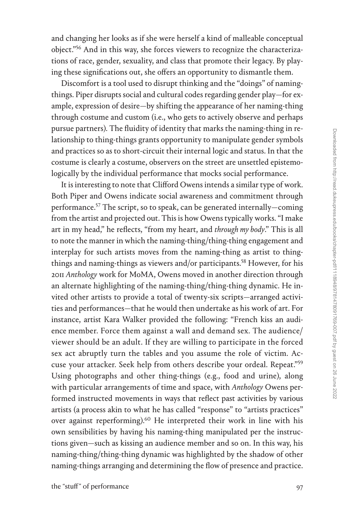and changing her looks as if she were herself a kind of malleable conceptual object.["56](#page--1-0) And in this way, she forces viewers to recognize the characterizations of race, gender, sexuality, and class that promote their legacy. By playing these significations out, she offers an opportunity to dismantle them.

Discomfort is a tool used to disrupt thinking and the "doings" of namingthings. Piper disrupts social and cultural codes regarding gender play—for example, expression of desire—by shifting the appearance of her naming-thing through costume and custom (i.e., who gets to actively observe and perhaps pursue partners). The fluidity of identity that marks the naming-thing in relationship to thing-things grants opportunity to manipulate gender symbols and practices so as to short-circuit their internal logic and status. In that the costume is clearly a costume, observers on the street are unsettled epistemologically by the individual performance that mocks social performance.

It is interesting to note that Clifford Owens intends a similar type of work. Both Piper and Owens indicate social awareness and commitment through performance.<sup>57</sup> The script, so to speak, can be generated internally—coming from the artist and projected out. This is how Owens typically works. "I make art in my head," he reflects, "from my heart, and *through my body*." This is all to note the manner in which the naming-thing/thing-thing engagement and interplay for such artists moves from the naming-thing as artist to thingthings and naming-things as viewers and/or participants.<sup>58</sup> However, for his 2011 *Anthology* work for MoMA, Owens moved in another direction through an alternate highlighting of the naming-thing/thing-thing dynamic. He invited other artists to provide a total of twenty-six scripts—arranged activities and performances—that he would then undertake as his work of art. For instance, artist Kara Walker provided the following: "French kiss an audience member. Force them against a wall and demand sex. The audience/ viewer should be an adult. If they are willing to participate in the forced sex act abruptly turn the tables and you assume the role of victim. Accuse your attacker. Seek help from others describe your ordeal. Repeat."[59](#page--1-0) Using photographs and other thing-things (e.g., food and urine), along with particular arrangements of time and space, with *Anthology* Owens performed instructed movements in ways that reflect past activities by various artists (a process akin to what he has called "response" to "artists practices" over against reperforming)[.60](#page--1-0) He interpreted their work in line with his own sensibilities by having his naming-thing manipulated per the instructions given—such as kissing an audience member and so on. In this way, his naming-thing/thing-thing dynamic was highlighted by the shadow of other naming-things arranging and determining the flow of presence and practice.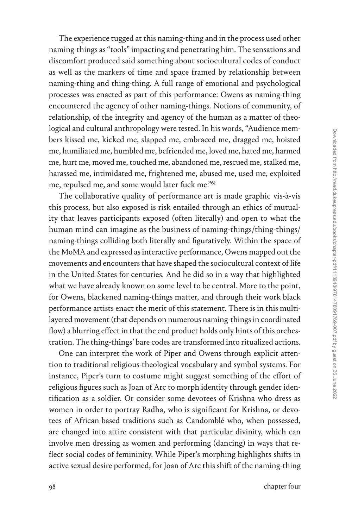naming-things as "tools" impacting and penetrating him. The sensations and discomfort produced said something about sociocultural codes of conduct as well as the markers of time and space framed by relationship between naming-thing and thing-thing. A full range of emotional and psychological processes was enacted as part of this performance: Owens as naming-thing encountered the agency of other naming-things. Notions of community, of relationship, of the integrity and agency of the human as a matter of theological and cultural anthropology were tested. In his words, "Audience members kissed me, kicked me, slapped me, embraced me, dragged me, hoisted me, humiliated me, humbled me, befriended me, loved me, hated me, harmed me, hurt me, moved me, touched me, abandoned me, rescued me, stalked me, harassed me, intimidated me, frightened me, abused me, used me, exploited me, repulsed me, and some would later fuck me.["61](#page--1-0) The collaborative quality of performance art is made graphic vis-à-vis

this process, but also exposed is risk entailed through an ethics of mutuality that leaves participants exposed (often literally) and open to what the human mind can imagine as the business of naming-things/thing-things/ naming-things colliding both literally and figuratively. Within the space of the MoMA and expressed as interactive performance, Owens mapped out the movements and encounters that have shaped the sociocultural context of life in the United States for centuries. And he did so in a way that highlighted what we have already known on some level to be central. More to the point, for Owens, blackened naming-things matter, and through their work black performance artists enact the merit of this statement. There is in this multilayered movement (that depends on numerous naming-things in coordinated flow) a blurring effect in that the end product holds only hints of this orchestration. The thing-things' bare codes are transformed into ritualized actions.

The experience tugged at this naming-thing and in the process used other

One can interpret the work of Piper and Owens through explicit attention to traditional religious-theological vocabulary and symbol systems. For instance, Piper's turn to costume might suggest something of the effort of religious figures such as Joan of Arc to morph identity through gender identification as a soldier. Or consider some devotees of Krishna who dress as women in order to portray Radha, who is significant for Krishna, or devotees of African-based traditions such as Candomblé who, when possessed, are changed into attire consistent with that particular divinity, which can involve men dressing as women and performing (dancing) in ways that reflect social codes of femininity. While Piper's morphing highlights shifts in active sexual desire performed, for Joan of Arc this shift of the naming-thing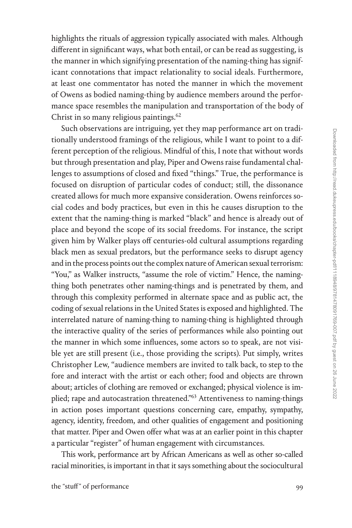highlights the rituals of aggression typically associated with males. Although different in significant ways, what both entail, or can be read as suggesting, is the manner in which signifying presentation of the naming-thing has significant connotations that impact relationality to social ideals. Furthermore, at least one commentator has noted the manner in which the movement of Owens as bodied naming-thing by audience members around the performance space resembles the manipulation and transportation of the body of Christ in so many religious paintings. $62$ 

Such observations are intriguing, yet they map performance art on traditionally understood framings of the religious, while I want to point to a different perception of the religious. Mindful of this, I note that without words but through presentation and play, Piper and Owens raise fundamental challenges to assumptions of closed and fixed "things." True, the performance is focused on disruption of particular codes of conduct; still, the dissonance created allows for much more expansive consideration. Owens reinforces social codes and body practices, but even in this he causes disruption to the extent that the naming-thing is marked "black" and hence is already out of place and beyond the scope of its social freedoms. For instance, the script given him by Walker plays off centuries-old cultural assumptions regarding black men as sexual predators, but the performance seeks to disrupt agency and in the process points out the complex nature of American sexual terrorism: "You," as Walker instructs, "assume the role of victim." Hence, the namingthing both penetrates other naming-things and is penetrated by them, and through this complexity performed in alternate space and as public act, the coding of sexual relations in the United States is exposed and highlighted. The interrelated nature of naming-thing to naming-thing is highlighted through the interactive quality of the series of performances while also pointing out the manner in which some influences, some actors so to speak, are not visible yet are still present (i.e., those providing the scripts). Put simply, writes Christopher Lew, "audience members are invited to talk back, to step to the fore and interact with the artist or each other; food and objects are thrown about; articles of clothing are removed or exchanged; physical violence is implied; rape and autocastration threatened.["63](#page--1-0) Attentiveness to naming-things in action poses important questions concerning care, empathy, sympathy, agency, identity, freedom, and other qualities of engagement and positioning that matter. Piper and Owen offer what was at an earlier point in this chapter a particular "register" of human engagement with circumstances.

This work, performance art by African Americans as well as other so-called racial minorities, is important in that it says something about the sociocultural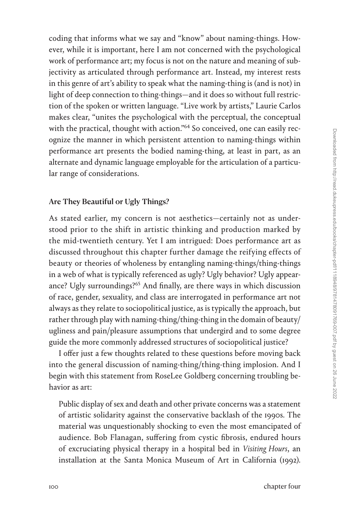coding that informs what we say and "know" about naming-things. However, while it is important, here I am not concerned with the psychological work of performance art; my focus is not on the nature and meaning of subjectivity as articulated through performance art. Instead, my interest rests in this genre of art's ability to speak what the naming-thing is (and is not) in light of deep connection to thing-things—and it does so without full restriction of the spoken or written language. "Live work by artists," Laurie Carlos makes clear, "unites the psychological with the perceptual, the conceptual with the practical, thought with action."<sup>64</sup> So conceived, one can easily recognize the manner in which persistent attention to naming-things within performance art presents the bodied naming-thing, at least in part, as an alternate and dynamic language employable for the articulation of a particular range of considerations.

# Are They Beautiful or Ugly Things?

As stated earlier, my concern is not aesthetics—certainly not as understood prior to the shift in artistic thinking and production marked by the mid-twentieth century. Yet I am intrigued: Does performance art as discussed throughout this chapter further damage the reifying effects of beauty or theories of wholeness by entangling naming-things/thing-things in a web of what is typically referenced as ugly? Ugly behavior? Ugly appear-ance? Ugly surroundings?<sup>[65](#page--1-0)</sup> And finally, are there ways in which discussion of race, gender, sexuality, and class are interrogated in performance art not always as they relate to sociopolitical justice, as is typically the approach, but rather through play with naming-thing/thing-thing in the domain of beauty/ ugliness and pain/pleasure assumptions that undergird and to some degree guide the more commonly addressed structures of sociopolitical justice?

I offer just a few thoughts related to these questions before moving back into the general discussion of naming-thing/thing-thing implosion. And I begin with this statement from RoseLee Goldberg concerning troubling behavior as art:

Public display of sex and death and other private concerns was a statement of artistic solidarity against the conservative backlash of the 1990s. The material was unquestionably shocking to even the most emancipated of audience. Bob Flanagan, suffering from cystic fibrosis, endured hours of excruciating physical therapy in a hospital bed in *Visiting Hours*, an installation at the Santa Monica Museum of Art in California (1992).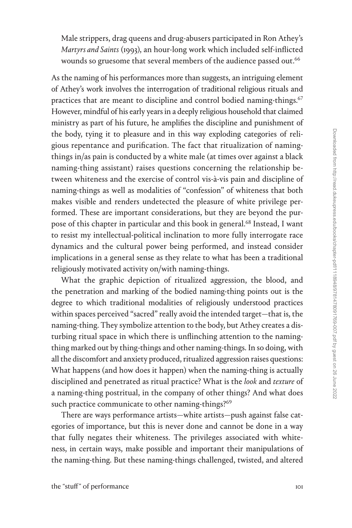Male strippers, drag queens and drug-abusers participated in Ron Athey's *Martyrs and Saints* (1993), an hour-long work which included self-inflicted wounds so gruesome that several members of the audience passed out.<sup>66</sup>

As the naming of his performances more than suggests, an intriguing element of Athey's work involves the interrogation of traditional religious rituals and practices that are meant to discipline and control bodied naming-things.<sup>67</sup> However, mindful of his early years in a deeply religious household that claimed ministry as part of his future, he amplifies the discipline and punishment of the body, tying it to pleasure and in this way exploding categories of religious repentance and purification. The fact that ritualization of namingthings in/as pain is conducted by a white male (at times over against a black naming-thing assistant) raises questions concerning the relationship between whiteness and the exercise of control vis-à-vis pain and discipline of naming-things as well as modalities of "confession" of whiteness that both makes visible and renders undetected the pleasure of white privilege performed. These are important considerations, but they are beyond the purpose of this chapter in particular and this book in general.<sup>68</sup> Instead, I want to resist my intellectual-political inclination to more fully interrogate race dynamics and the cultural power being performed, and instead consider implications in a general sense as they relate to what has been a traditional religiously motivated activity on/with naming-things.

What the graphic depiction of ritualized aggression, the blood, and the penetration and marking of the bodied naming-thing points out is the degree to which traditional modalities of religiously understood practices within spaces perceived "sacred" really avoid the intended target—that is, the naming-thing. They symbolize attention to the body, but Athey creates a disturbing ritual space in which there is unflinching attention to the namingthing marked out by thing-things and other naming-things. In so doing, with all the discomfort and anxiety produced, ritualized aggression raises questions: What happens (and how does it happen) when the naming-thing is actually disciplined and penetrated as ritual practice? What is the *look* and *texture* of a naming-thing postritual, in the company of other things? And what does such practice communicate to other naming-things?<sup>[69](#page--1-0)</sup>

There are ways performance artists—white artists—push against false categories of importance, but this is never done and cannot be done in a way that fully negates their whiteness. The privileges associated with whiteness, in certain ways, make possible and important their manipulations of the naming-thing. But these naming-things challenged, twisted, and altered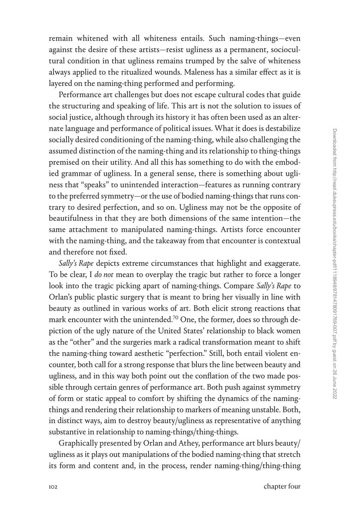remain whitened with all whiteness entails. Such naming-things—even against the desire of these artists—resist ugliness as a permanent, sociocultural condition in that ugliness remains trumped by the salve of whiteness always applied to the ritualized wounds. Maleness has a similar effect as it is layered on the naming-thing performed and performing.

Performance art challenges but does not escape cultural codes that guide the structuring and speaking of life. This art is not the solution to issues of social justice, although through its history it has often been used as an alternate language and performance of political issues. What it does is destabilize socially desired conditioning of the naming-thing, while also challenging the assumed distinction of the naming-thing and its relationship to thing-things premised on their utility. And all this has something to do with the embodied grammar of ugliness. In a general sense, there is something about ugliness that "speaks" to unintended interaction—features as running contrary to the preferred symmetry—or the use of bodied naming-things that runs contrary to desired perfection, and so on. Ugliness may not be the opposite of beautifulness in that they are both dimensions of the same intention—the same attachment to manipulated naming-things. Artists force encounter with the naming-thing, and the takeaway from that encounter is contextual and therefore not fixed.

*Sally's Rape* depicts extreme circumstances that highlight and exaggerate. To be clear, I *do not* mean to overplay the tragic but rather to force a longer look into the tragic picking apart of naming-things. Compare *Sally's Rape* to Orlan's public plastic surgery that is meant to bring her visually in line with beauty as outlined in various works of art. Both elicit strong reactions that mark encounter with the unintended.<sup>70</sup> One, the former, does so through depiction of the ugly nature of the United States' relationship to black women as the "other" and the surgeries mark a radical transformation meant to shift the naming-thing toward aesthetic "perfection." Still, both entail violent encounter, both call for a strong response that blurs the line between beauty and ugliness, and in this way both point out the conflation of the two made possible through certain genres of performance art. Both push against symmetry of form or static appeal to comfort by shifting the dynamics of the namingthings and rendering their relationship to markers of meaning unstable. Both, in distinct ways, aim to destroy beauty/ugliness as representative of anything substantive in relationship to naming-things/thing-things.

Graphically presented by Orlan and Athey, performance art blurs beauty/ ugliness as it plays out manipulations of the bodied naming-thing that stretch its form and content and, in the process, render naming-thing/thing-thing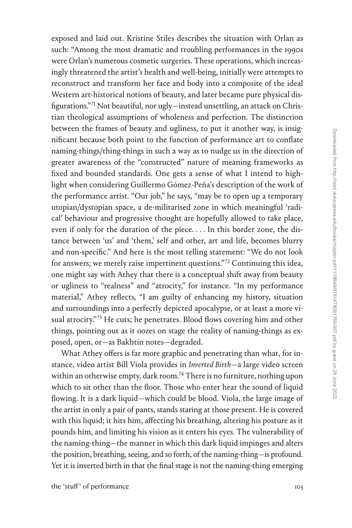exposed and laid out. Kristine Stiles describes the situation with Orlan as such: "Among the most dramatic and troubling performances in the 1990s were Orlan's numerous cosmetic surgeries. These operations, which increasingly threatened the artist's health and well-being, initially were attempts to reconstruct and transform her face and body into a composite of the ideal Western art-historical notions of beauty, and later became pure physical disfigurations."[71](#page--1-0) Not beautiful, nor ugly—instead unsettling, an attack on Christian theological assumptions of wholeness and perfection. The distinction between the frames of beauty and ugliness, to put it another way, is insignificant because both point to the function of performance art to conflate naming-things/thing-things in such a way as to nudge us in the direction of greater awareness of the "constructed" nature of meaning frameworks as fixed and bounded standards. One gets a sense of what I intend to highlight when considering Guillermo Gómez-Peña's description of the work of the performance artist. "Our job," he says, "may be to open up a temporary utopian/dystopian space, a de-militarised zone in which meaningful 'radical' behaviour and progressive thought are hopefully allowed to take place, even if only for the duration of the piece. . . . In this border zone, the distance between 'us' and 'them,' self and other, art and life, becomes blurry and non-specific." And here is the most telling statement: "We do not look for answers; we merely raise impertinent questions."[72](#page--1-0) Continuing this idea, one might say with Athey that there is a conceptual shift away from beauty or ugliness to "realness" and "atrocity," for instance. "In my performance material," Athey reflects, "I am guilty of enhancing my history, situation and surroundings into a perfectly depicted apocalypse, or at least a more vi-sual atrocity."[73](#page--1-0) He cuts; he penetrates. Blood flows covering him and other things, pointing out as it oozes on stage the reality of naming-things as exposed, open, or—as Bakhtin notes—degraded.

What Athey offers is far more graphic and penetrating than what, for instance, video artist Bill Viola provides in *Inverted Birth*—a large video screen within an otherwise empty, dark room.<sup>74</sup> There is no furniture, nothing upon which to sit other than the floor. Those who enter hear the sound of liquid flowing. It is a dark liquid—which could be blood. Viola, the large image of the artist in only a pair of pants, stands staring at those present. He is covered with this liquid; it hits him, affecting his breathing, altering his posture as it pounds him, and limiting his vision as it enters his eyes. The vulnerability of the naming-thing—the manner in which this dark liquid impinges and alters the position, breathing, seeing, and so forth, of the naming-thing—is profound. Yet it is inverted birth in that the final stage is not the naming-thing emerging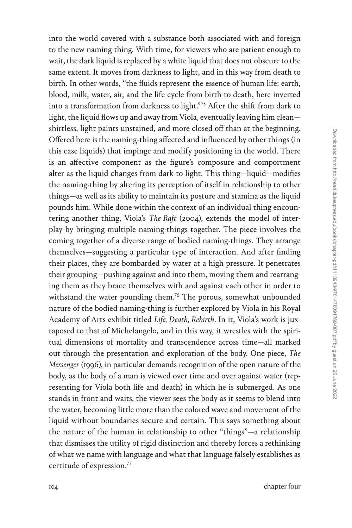into the world covered with a substance both associated with and foreign to the new naming-thing. With time, for viewers who are patient enough to wait, the dark liquid is replaced by a white liquid that does not obscure to the same extent. It moves from darkness to light, and in this way from death to birth. In other words, "the fluids represent the essence of human life: earth, blood, milk, water, air, and the life cycle from birth to death, here inverted into a transformation from darkness to light."[75](#page--1-0) After the shift from dark to light, the liquid flows up and away from Viola, eventually leaving him clean shirtless, light paints unstained, and more closed off than at the beginning. Offered here is the naming-thing affected and influenced by other things (in this case liquids) that impinge and modify positioning in the world. There is an affective component as the figure's composure and comportment alter as the liquid changes from dark to light. This thing—liquid—modifies the naming-thing by altering its perception of itself in relationship to other things—as well as its ability to maintain its posture and stamina as the liquid pounds him. While done within the context of an individual thing encountering another thing, Viola's *The Raft* (2004), extends the model of interplay by bringing multiple naming-things together. The piece involves the coming together of a diverse range of bodied naming-things. They arrange themselves—suggesting a particular type of interaction. And after finding their places, they are bombarded by water at a high pressure. It penetrates their grouping—pushing against and into them, moving them and rearranging them as they brace themselves with and against each other in order to withstand the water pounding them.<sup>76</sup> The porous, somewhat unbounded nature of the bodied naming-thing is further explored by Viola in his Royal Academy of Arts exhibit titled *Life, Death, Rebirth*. In it, Viola's work is juxtaposed to that of Michelangelo, and in this way, it wrestles with the spiritual dimensions of mortality and transcendence across time—all marked out through the presentation and exploration of the body. One piece, *The Messenger* (1996), in particular demands recognition of the open nature of the body, as the body of a man is viewed over time and over against water (representing for Viola both life and death) in which he is submerged. As one stands in front and waits, the viewer sees the body as it seems to blend into the water, becoming little more than the colored wave and movement of the liquid without boundaries secure and certain. This says something about the nature of the human in relationship to other "things"—a relationship that dismisses the utility of rigid distinction and thereby forces a rethinking of what we name with language and what that language falsely establishes as certitude of expression[.77](#page--1-0)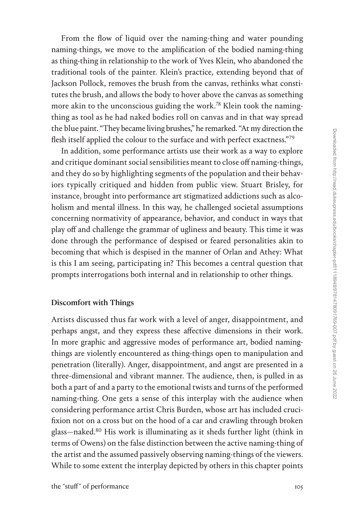From the flow of liquid over the naming-thing and water pounding naming-things, we move to the amplification of the bodied naming-thing as thing-thing in relationship to the work of Yves Klein, who abandoned the traditional tools of the painter. Klein's practice, extending beyond that of Jackson Pollock, removes the brush from the canvas, rethinks what constitutes the brush, and allows the body to hover above the canvas as something more akin to the unconscious guiding the work.<sup>[78](#page--1-0)</sup> Klein took the namingthing as tool as he had naked bodies roll on canvas and in that way spread the blue paint. "They became living brushes," he remarked. "At my direction the flesh itself applied the colour to the surface and with perfect exactness."[79](#page--1-0)

In addition, some performance artists use their work as a way to explore and critique dominant social sensibilities meant to close off naming-things, and they do so by highlighting segments of the population and their behaviors typically critiqued and hidden from public view. Stuart Brisley, for instance, brought into performance art stigmatized addictions such as alcoholism and mental illness. In this way, he challenged societal assumptions concerning normativity of appearance, behavior, and conduct in ways that play off and challenge the grammar of ugliness and beauty. This time it was done through the performance of despised or feared personalities akin to becoming that which is despised in the manner of Orlan and Athey: What is this I am seeing, participating in? This becomes a central question that prompts interrogations both internal and in relationship to other things.

### Discomfort with Things

Artists discussed thus far work with a level of anger, disappointment, and perhaps angst, and they express these affective dimensions in their work. In more graphic and aggressive modes of performance art, bodied namingthings are violently encountered as thing-things open to manipulation and penetration (literally). Anger, disappointment, and angst are presented in a three-dimensional and vibrant manner. The audience, then, is pulled in as both a part of and a party to the emotional twists and turns of the performed naming-thing. One gets a sense of this interplay with the audience when considering performance artist Chris Burden, whose art has included crucifixion not on a cross but on the hood of a car and crawling through broken glass—naked[.80](#page--1-0) His work is illuminating as it sheds further light (think in terms of Owens) on the false distinction between the active naming-thing of the artist and the assumed passively observing naming-things of the viewers. While to some extent the interplay depicted by others in this chapter points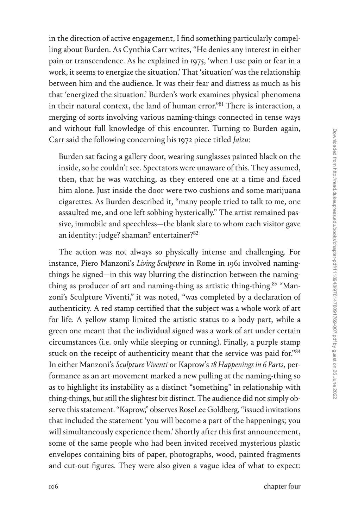in the direction of active engagement, I find something particularly compelling about Burden. As Cynthia Carr writes, "He denies any interest in either pain or transcendence. As he explained in 1975, 'when I use pain or fear in a work, it seems to energize the situation.' That 'situation' was the relationship between him and the audience. It was their fear and distress as much as his that 'energized the situation.' Burden's work examines physical phenomena in their natural context, the land of human error."[81](#page--1-0) There is interaction, a merging of sorts involving various naming-things connected in tense ways and without full knowledge of this encounter. Turning to Burden again, Carr said the following concerning his 1972 piece titled *Jaizu*:

Burden sat facing a gallery door, wearing sunglasses painted black on the inside, so he couldn't see. Spectators were unaware of this. They assumed, then, that he was watching, as they entered one at a time and faced him alone. Just inside the door were two cushions and some marijuana cigarettes. As Burden described it, "many people tried to talk to me, one assaulted me, and one left sobbing hysterically." The artist remained passive, immobile and speechless—the blank slate to whom each visitor gave an identity: judge? shaman? entertainer[?82](#page--1-0)

The action was not always so physically intense and challenging. For instance, Piero Manzoni's *Living Sculpture* in Rome in 1961 involved namingthings he signed—in this way blurring the distinction between the namingthing as producer of art and naming-thing as artistic thing-thing.<sup>83</sup> "Manzoni's Sculpture Viventi," it was noted, "was completed by a declaration of authenticity. A red stamp certified that the subject was a whole work of art for life. A yellow stamp limited the artistic status to a body part, while a green one meant that the individual signed was a work of art under certain circumstances (i.e. only while sleeping or running). Finally, a purple stamp stuck on the receipt of authenticity meant that the service was paid for.["84](#page--1-0) In either Manzoni's *Sculpture Viventi* or Kaprow's *18 Happenings in 6 Parts*, performance as an art movement marked a new pulling at the naming-thing so as to highlight its instability as a distinct "something" in relationship with thing-things, but still the slightest bit distinct. The audience did not simply observe this statement. "Kaprow," observes RoseLee Goldberg, "issued invitations that included the statement 'you will become a part of the happenings; you will simultaneously experience them.' Shortly after this first announcement, some of the same people who had been invited received mysterious plastic envelopes containing bits of paper, photographs, wood, painted fragments and cut-out figures. They were also given a vague idea of what to expect: